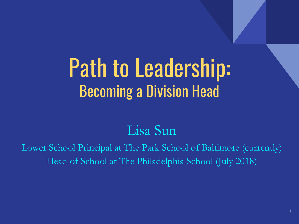### Path to Leadership: Becoming a Division Head

#### Lisa Sun

Lower School Principal at The Park School of Baltimore (currently) Head of School at The Philadelphia School (July 2018)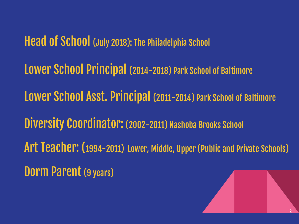Head of School (July 2018): The Philadelphia School

Lower School Principal (2014-2018) Park School of Baltimore

Lower School Asst. Principal (2011-2014) Park School of Baltimore

Diversity Coordinator: (2002-2011) Nashoba Brooks School

Art Teacher: (1994-2011) Lower, Middle, Upper (Public and Private Schools)

Dorm Parent (9 years)

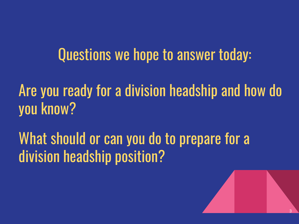#### Questions we hope to answer today:

Are you ready for a division headship and how do you know?

#### What should or can you do to prepare for a division headship position?

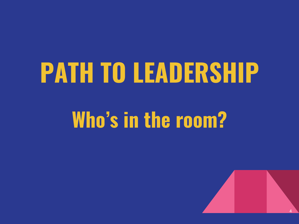# **PATH TO LEADERSHIP**

### **Who's in the room?**

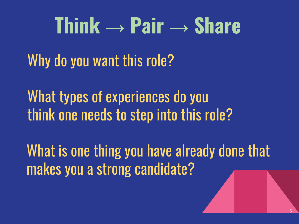# **Think → Pair → Share**

Why do you want this role?

What types of experiences do you think one needs to step into this role?

What is one thing you have already done that makes you a strong candidate?

5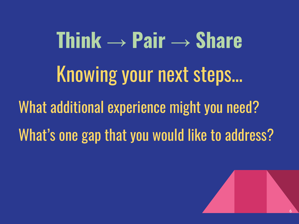# **Think → Pair → Share** Knowing your next steps… What additional experience might you need? What's one gap that you would like to address?

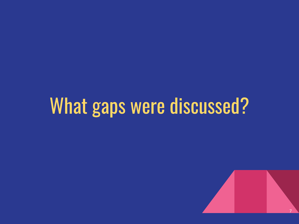### What gaps were discussed?

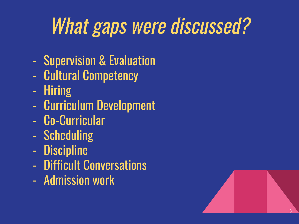## What gaps were discussed?

- Supervision & Evaluation
- Cultural Competency
- Hiring
- Curriculum Development
- Co-Curricular
- Scheduling
- Discipline
- Difficult Conversations
- Admission work

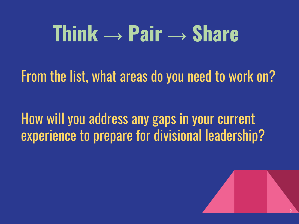### **Think → Pair → Share**

From the list, what areas do you need to work on?

How will you address any gaps in your current experience to prepare for divisional leadership?

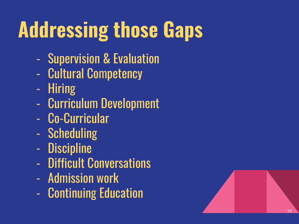# **Addressing those Gaps**

- Supervision & Evaluation
- Cultural Competency Hiring
- 
- Curriculum Development
- Co-Curricular
- Scheduling
- Discipline
- Difficult Conversations
- 
- Admission work Continuing Education

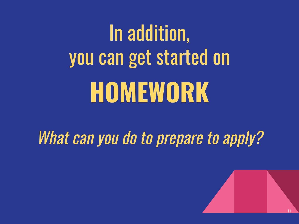# In addition, you can get started on **HOMEWORK**

What can you do to prepare to apply?

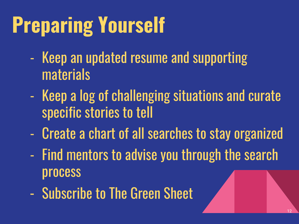# **Preparing Yourself**

- Keep an updated resume and supporting materials
- Keep a log of challenging situations and curate specific stories to tell
- Create a chart of all searches to stay organized
- Find mentors to advise you through the search process
- Subscribe to The Green Sheet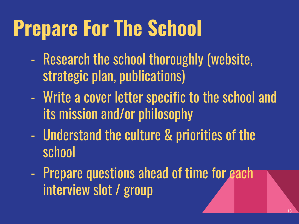## **Prepare For The School**

- Research the school thoroughly (website, strategic plan, publications)
- Write a cover letter specific to the school and its mission and/or philosophy
- Understand the culture & priorities of the school
- Prepare questions ahead of time for each interview slot / group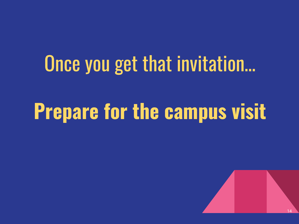## Once you get that invitation…

## **Prepare for the campus visit**

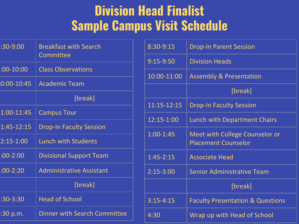#### **Division Head Finalist Sample Campus Visit Schedule**

| $:30 - 9:00$    | <b>Breakfast with Search</b><br>Committee |
|-----------------|-------------------------------------------|
| $:00-10:00$     | <b>Class Observations</b>                 |
| $0:00 - 10:45$  | <b>Academic Team</b>                      |
|                 | [break]                                   |
| 1:00-11:45      | <b>Campus Tour</b>                        |
| 1:45-12:15      | <b>Drop-In Faculty Session</b>            |
| $2:15 - 1:00$   | <b>Lunch with Students</b>                |
| $:00-2:00$      | <b>Divisional Support Team</b>            |
| $:00-2:20$      | <b>Administrative Assistant</b>           |
|                 | [break]                                   |
| $:30-3:30$      | <b>Head of School</b>                     |
| <u>:30 p.m.</u> | <b>Dinner with Search Committee</b>       |

| 8:30-9:15     | <b>Drop-In Parent Session</b>                                |
|---------------|--------------------------------------------------------------|
| $9:15-9:50$   | <b>Division Heads</b>                                        |
| 10:00-11:00   | <b>Assembly &amp; Presentation</b>                           |
|               | [break]                                                      |
| 11:15-12:15   | <b>Drop-In Faculty Session</b>                               |
| 12:15-1:00    | <b>Lunch with Department Chairs</b>                          |
| $1:00-1:45$   | Meet with College Counselor or<br><b>Placement Counselor</b> |
| $1:45 - 2:15$ | <b>Associate Head</b>                                        |
| $2:15-3:00$   | <b>Senior Administrative Team</b>                            |
|               | [break]                                                      |
| $3:15 - 4:15$ | <b>Faculty Presentation &amp; Questions</b>                  |
| 4:30          | Wrap up with Head of School                                  |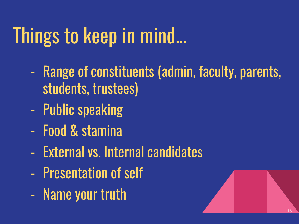# Things to keep in mind...

- Range of constituents (admin, faculty, parents, students, trustees)
- Public speaking
- Food & stamina
- External vs. Internal candidates
- Presentation of self
- Name your truth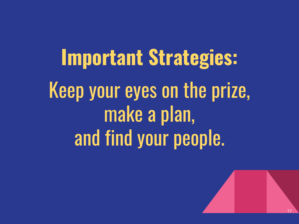**Important Strategies:** Keep your eyes on the prize, make a plan, and find your people.